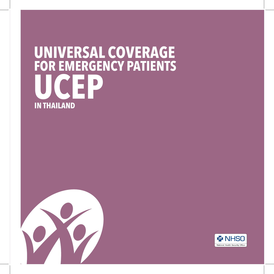## **UNIVERSAL COVERAGE UCEP FOR EMERGENCY PATIENTS IN THAILAND**



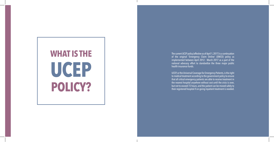# **WHAT IS THE UCEP POLICY?**

The current UCEP policy (effective as of April 1, 2017) is a continuation of the original 'Emergency Claim Online' (EMCO) policy as implemented between April 2012 - March 2017 as a part of the national advocacy effort to standardize the three major public health insurance funds.

UCEP, or the Universal Coverage for Emergency Patients, is the right to medical treatment according to the government policy to ensure that all critical emergency patients are able to receive treatment in the nearest hospital anywhere without cost until the crisis is over, but not to exceed 72 hours, and the patient can be moved safely to their registered hospital if on-going inpatient treatment is needed.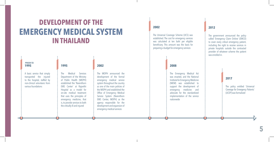## **DEVELOPMENT OF THE EMERGENCY MEDICAL SYSTEM IN THAILAND**

| <b>PRIOR TO</b><br>1995                                                                                                                      | 1995                                                                                                                                                                                                                                                                                                                             |
|----------------------------------------------------------------------------------------------------------------------------------------------|----------------------------------------------------------------------------------------------------------------------------------------------------------------------------------------------------------------------------------------------------------------------------------------------------------------------------------|
| A basic service that simply<br>transported the injured<br>to the hospital, staffed by<br>non-clinical volunteers from<br>various foundations | The Medical Services<br>Department of the Ministry<br>of Public Health (MOPH)<br>established the 'Narenthorn<br>EMS Center' at Rajavithi<br>Hospital as a model for<br>on-site medical treatment<br>that uses the principles of<br>emergency medicine, that<br>is, to provide services to both<br>the critically ill and injured |

#### **2002**

The MOPH announced the development of the formal emergency medical service system throughout the country as one of the main policies of the MOPH and established the Office of Emergency Medical Service System (Narenthorn EMS Center, MOPH) as the agency responsible for the development and expansion of emergency medical services

#### **2002**

The Universal Coverage Scheme (UCS) was established. The cost for emergency services was calculated at ten baht per eligible beneficiary. This amount was the basis for preparing a budget for emergency services

#### **2008**

The Emergency Medical Act was enacted, and the National Institute for Emergency Medicine (NIEM) was established to support the development of emergency medicine and advocate for the standardized implementation of the service nationwide

#### **2012**

The government announced the policy called 'Emergency Claim Online' (EMCO) to cover every critical emergency patient, including the right to receive services in private hospitals outside the contracted provider of whatever scheme the patient was enrolled in.

#### **2017**

The policy entitled 'Universal Coverage for Emergency Patients' (UCEP) was formalized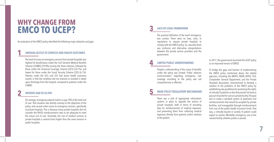## **WHY CHANGE FROM EMCO TO UCEP?**

An evaluation of the EMCO policy identified the following major obstacles and gaps:

#### **1 UNEQUAL ACCESS TO SERVICES AND HEALTH OUTCOMES**

The level of access to emergency services from private hospitals was highest for beneficiaries under the Civil Servants Medical Benefits Scheme (CSMBS) (59.8%) among the three schemes, followed by those under the Universal Coverage Scheme (UCS) (34.1%), and lowest for those under the Social Security Scheme (SSS) (6.1%). Patients under the UCS and SSS had worse health outcomes overall, in that the condition did not improve or resulted in death upon discharge from the hospital, compared to patients under the **CSMBS** 

### **2 PATIENTS HAD TO CO-PAY**

On average, emergency patients had to co-pay 70% of the total cost of care. That situation was directly contrary to the objectives of the policy, and caused unfair access to emergency services, specifically at private hospitals. This is because many private hospitals did not consider the NHSO reimbursement rates to be adequate to meet the actual cost of care. Generally, the cost of medical services at private hospitals is several times higher than the same services in public hospitals.

### **3 LACK OF LEGAL FRAMEWORK**

The practical definition of the word 'emergency' was unclear. There were no laws, rules, or regulations to require private hospitals to comply with the EMCO policy. So, naturally there was confusion and alternative interpretations between the private service providers and the government.

#### **4 LIMITED PUBLIC UNDERSTANDING**

People's understanding of the scope of benefits under the policy was limited. Public relations communication regarding emergency care coverage according to the policy was not comprehensive or effective.

#### **5 WEAK POLICY REGULATORY MECHANISMS**

There was a lack of appropriate information systems in place to regulate the actions of private hospitals, both in terms of recording data for reimbursement of medical expenses, and preventing them from collecting medical expenses directly from patients and/or relatives of the patient.

In 2017, the government launched the UCEP policy as an improved version of EMCO.

To bridge the gaps and barriers of implementing the EMCO policy mentioned above, the related agencies, including the MOPH, NIEM, NHSO, SSO, Comptroller General Department, and the Private Hospitals Association, brainstormed to develop a solution to the problems of the EMCO policy by establishing new guidelines for protecting the rights of critically ill patients so that they would not have to pay out-of-pocket for care at a private facility. The goal was to create a standard system of payments and reimbursements that would be accepted by private facilities, and manageable through reimbursement from one of the public health insurance funds. That way, a critically-injured or acutely ill patient could expect to receive affordable emergency care at the nearest facility, whether public or private.

**7**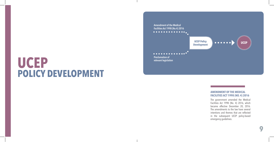## **UCEP POLICY DEVELOPMENT**



#### **AMENDMENT OF THE MEDICAL FACILITIES ACT 1998 (NO. 4) 2016**

The government amended the Medical Facilities Act 1998 (No. 4) 2016, which became effective December 20, 2016. The amendments to the law have several intentions and themes that are reflected in the subsequent UCEP policy-based emergency guidelines.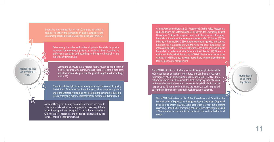Improving the composition of the Committee on Medical consumer protection, which was unclear in the past (Article 7)

Medical Facilities Act 1998 (No.4) 2016

**1**

**5**

**2**

**4**

**3**

Determining the roles and duties of private hospitals to provide treatment for emergency patients to stabilize them according to professional standards and according to the type of hospital for the public benefit (Article 36)

Controlling to ensure that a medical facility must disclose the cost of medical treatment, medicines, medical supplies, related clinical fees, and other service charges, and the patient's right to act accordingly (Article 32)

Protection of the right to access emergency medical services by giving the Minister of Public Health the authority to define 'emergency patient' under the Emergency Medicine Act, for which the patient is required to receive emergency medical treatment from a medical facility (Article 33/1)

A medical facility has the duty to mobilize resources and provide assistance or take action as appropriate and necessary. Actions under Paragraph 1 and Paragraph 2 are to be in accordance with the Rules, Procedures, and Conditions announced by the Minister of Public Health (Article 36)

**1** Cabinet Resolution (March 28, 2017) approved: (1) The Rules, Procedures, and Conditions for Determination of Expenses for Emergency Patient Operations; (2) All public hospitals comply with the rules, and allow public hospitals to transfer critical emergency patients after 72 hours; (3) The Ministry of Finance, NHSO, SSO, other government agencies, and various funds are to act in accordance with the rules, and cover expenses at the rate according to the fee schedule attached to the Rules, and to reimburse hospitals in accordance with the Rules in a timely fashion; (4) If there is a revision of the fee schedule rate, the MOPH shall submit the matter to the Cabinet; (5) NIEM is to act in accordance with the aforementioned criteria for emergency case management

The MOPH Notification on the Designation of Emergency Patients and the MOPH Notification on the Rules, Procedures, and Conditions of Assistance to Emergency Patients, Remediation, and Referral (March 31, 2017). These notifications were issued to guarantee that emergency patients would receive needed medical care from the nearest hospital including private hospital up to 72 hours, without billing the patient, as each hospital will be reimbursed from one of the public health insurance schemes.

The MOPH Notification on the Rules, Procedures, and Conditions for Determination of Expenses for Emergency Patient Operations (Approved by Cabinet on March 28, 2017). This notification was sent out to resolve issues (e.g., definition of emergency patient, service rates, payments, and 72-hour post-crisis care) and to be consistent, fair, and applicable to all sectors

Proclamation of Relevant Legislation

**2**

**3**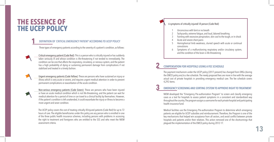## **THE ESSENCE OF THE UCEP POLICY**

#### **1 DEFINITION OF** *'CRITICAL EMERGENCY PATIENT'* **ACCORDING TO UCEP POLICY**

Three types of emergency patients according to the severity of a patient's condition, as follows:



Critical emergency patient (Code Red): This is a person who is critically injured or has suddenly taken seriously ill and whose condition is life-threatening if not tended to immediately. The condition can be one that affects the respiratory, circulatory, or nervous system, and the patient has a high probability of dying or sustaining permanent damage from complications if not stabilized and treated in a timely fashion.



Urgent emergency patients (Code Yellow): These are persons who have sustained an injury or illness which is very acute or severe, and requires urgent medical attention in order to prevent permanent complications or exacerbation of the acute condition.



Non-serious emergency patients (Code Green): These are persons who have been injured or have an acute medical condition which is not life-threatening, and the patient can wait for medical attention for a period of time or can travel to a clinical facility by themselves. However, if the patient's condition is left unattended, it could exacerbate the injury or illness to become a more urgent and sever condition.

The UCEP policy covers the cost of treating critically ill/injured patients (Code Red) for up to 72 hours of care. The eligible beneficiaries under this policy are any person who is enrolled in one of the three public health insurance schemes, including persons with problems in accessing the right to treatment and foreigners who are entitled to the SSS and who meet the NIEM assessment criteria.

#### 6 symptoms of critically injured/ ill person (Code Red)

- Unconscious with faint or no breath
- 2 Tachycardia, extreme fatigue, and loud, labored breathing
- 3 Fainting with excessive perspiration, skin cool to the tough, or in shock
- Acute and severe chest pains
- 5 Hemispherical limb weakness, slurred speech with acute or continual convulsions
- 6 Symptoms of a malfunctioning respiratory and/or circulatory system, and the condition of the brain is life-threatening

## **2 COMPENSATION FOR HOSPITALS USING A FEE SCHEDULE**

The payment mechanism under the UCEP policy (2017-present) has changed from DRGs (during the EMCO policy era) to a fee schedule. The newly proposed fees are more in line with the average actual cost of private hospitals in providing emergency medical care. The fee schedule covers 4,292 items.

### **3 EMERGENCY SCREENING AND SORTING SYSTEM TO APPROVE RIGHT TO TREATMENT**

NIEM developed the "Emergency Pre-authorization Program" to screen and classify emergency cases as a tool for hospitals to assess patient symptoms in a consistent and standardized way throughout the country. The program assigns a username for each private hospital and participating health insurance fund.

Medical facilities use the Emergency Pre-authorization Program to determine which emergency patients are eligible for UCEP subsidies and reimbursement. Therefore, the Program is one of the key mechanisms that helped win acceptance from all sectors, and avoid conflict between private hospitals and patients and/or their relatives. This action removed one of the shortcomings that plagued the implementation of the EMCO policy during 2012-17.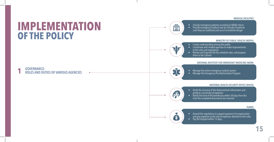#### **MEDICAL FACILITIES**

## **IMPLEMENTATION OF THE POLICY**

## **1 GOVERNANCE: ROLES AND DUTIES OF VARIOUS AGENCIES**

 $- - - - - - - - - - - - -$ 

. . . . . . . . . . . . . 0

-----------0

<u>(%)</u>

- 
- Classify emergency patients according to NIEM criteria<br>• Provide emergency medical care for critically ill patients until they are stabilized and out of immediate danger

#### **MINISTRY OF PUBLIC HEALTH (MOPH)**

- Create understanding among the public<br>• Coordinate with related agencies to make improvements
- to the rules and regulations
- Review and improve the fee schedule rates, and propose them to the Cabinet

#### **NATIONAL INSTITUTE FOR EMERGENCY MEDICINE (NIEM)**

- 
- Manage the entire emergency medical system<br>• Manage the Emergency Pre-Authorization Program

#### **NATIONAL HEALTH SECURITY OFFICE (NHSO)**



- Verify the accuracy of the disbursement information and produce a summary of expenses
- Notify the fund of the beneficiary within 30 days from the time the completed documents are received

#### **FUNDS**



- Amend the regulations to support payment of compensation and pay expenses at the rate of expenses attached to the rules
- Pay the hospital within 15 days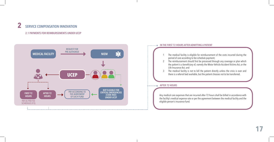## **2 SERVICE COMPENSATION INNOVATION**

**2.1 PAYMENTS FOR REIMBURSEMENTS UNDER UCEP**



### **AFTER 72 HOURS IN THE FIRST 72 HOURS AFTER ADMITTING A PATIENT** 1 The medical facility is eligible for reimbursement of the costs incurred during the period of care according to fee schedule payment; 2 The reimbursement should first be processed through any coverage or plan which the patient is a beneficiary of, namely the Motor Vehicle Accident Victims Act, or the Life Insurance Act; and 3 The medical facility is not to bill the patient directly unless the crisis is over and there is a referral bed available, but the patient chooses not to be transferred.

Any medical care expenses that are incurred after 72 hours shall be billed in accordance with the facility's medical expense rate or per the agreement between the medical facility and the eligible person's insurance fund.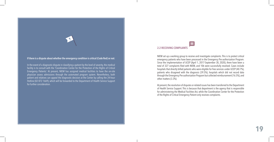

In the event of a diagnostic dispute in classifying a patient by the level of severity, the medical facility is to consult with the 'Coordination Center for the Protection of the Rights of Critical Emergency Patients.' At present, NIEM has assigned medical facilities to have the on-site physician assess admissions through the automated program system. Nevertheless, both patient and relatives can appeal the diagnostic decision at the Center by calling the 24-hour Hotline (02 872 1669), which will be forwarded to the Department of Health Service Support for further consideration.

### **2.2 RECEIVING COMPLAINTS**

NIEM set up a working group to receive and investigate complaints. This is to protect critical emergency patients who have been processed in the Emergency Pre-authorization Program. Since the implementation of UCEP (April 1, 2017-September 30, 2020), there have been a total of 327 complaints filed with NIEM, and 106 were successfully resolved. Cases include hospitals that directly billed patients who were eligible for free services under UCEP (40.7%), patients who disagreed with the diagnosis (39.5%), hospitals which did not record data through the Emergency Pre-authorization Program but collected reimbursement (16.5%), and other matters (3.3%).

At present, the resolution of disputes or related issues has been transferred to the Department of Health Service Support. This is because that department is the agency that is responsible for administering the Medical Facilities Act, while the Coordination Center for the Protection of the Rights of Critical Emergency Patient only receives complaints.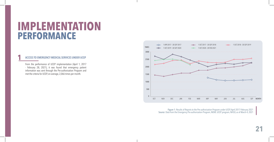## **IMPLEMENTATION PERFORMANCE**

#### **1 ACCESS TO EMERGENCY MEDICAL SERVICES UNDER UCEP**

From the performance of UCEP implementation (April 1, 2017 - February 28, 2021), it was found that emergency patient information was sent through the Pre-authorization Program and met the criteria for UCEP, on average, 2,066 times per month.



Figure 1: Results of Reports to the Pre-authorization Program under UCEP, April 2017-February 2021 Source: Data from the Emergency Pre-authorization Program, NIEM; UCEP program, NHSO, as of March 4, 2021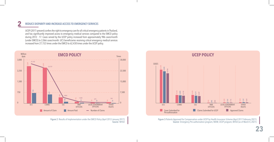### **2 REDUCE DISPARITY AND INCREASE ACCESS TO EMERGENCY SERVICES**

UCEP (2017-present) confers the right to emergency care for all critical emergency patients in Thailand, and has significantly improved access to emergency medical services compared to the EMCO policy during 2012 - 17. Cases served by the UCEP policy increased from approximately 986 cases/month (under EMCO) to 2,066 cases/month. UCS beneficiaries receiving critical emergency medical services increased from 27,152 times under the EMCO to 62,430 times under the UCEP policy.



Source: NHSO



Figure 3:Patients Approved for Compensation under UCEP by Health Insurance Scheme (April 2017-February 2021) Source: Emergency Pre-authorization program, NIEM; UCEP program, NHSO (as of March 4, 2021)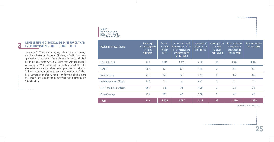## **3 REIMBURSEMENT OF MEDICAL EXPENSES FOR CRITICAL/**<br> **EMERGENCY PATIENTS UNDER THE UCEP POLICY** Health Insurance Scheme

There were 97,125 critical emergency patients processed through the Pre-authorization Program. Of these, 87,027 cases were approved for disbursement. The total medical expenses billed (all health insurance funds) was 5.059 billion baht, with disbursement amounting to 2.188 billion baht, accounting for 43.2% of the claimed amount. Compensation for emergency services in the first 72 hours according to the fee schedule amounted to 2.097 billion baht. Compensation after 72 hours (only for those eligible in the UCS system) according to the fee-for-service system amounted to 93 million baht.

. . . . . . . . . . . . . . . .

## **Table 1:** Reimbursements under UCEP (April 2017-February 2021)

| <b>Health Insurance Scheme</b>   | Percentage<br>of claims approved<br>(of claims<br>submitted) | Amount<br>of claims<br>(million<br>baht) | Amount advanced<br>for care in the first 72<br>hours not counting<br>insurance claims<br>(million baht) | Percentage of<br>amount in the<br>first 72 hours | Amount paid for<br>care after<br>72 hours<br>(million baht) | Net compensation<br>before private<br>insurance Acts<br>(million baht) | Net compensation<br>(million baht) |
|----------------------------------|--------------------------------------------------------------|------------------------------------------|---------------------------------------------------------------------------------------------------------|--------------------------------------------------|-------------------------------------------------------------|------------------------------------------------------------------------|------------------------------------|
| UCS (Gold Card)                  | 94.2                                                         | 3,119                                    | 1,303                                                                                                   | 41.8                                             | 93                                                          | 1,396                                                                  | 1,394                              |
| <b>CSMBS</b>                     | 95.4                                                         | 831                                      | 371                                                                                                     | 44.6                                             | $\overline{0}$                                              | 371                                                                    | 371                                |
| <b>Social Security</b>           | 93.9                                                         | 877                                      | 327                                                                                                     | 37.3                                             | $\overline{0}$                                              | 327                                                                    | 327                                |
| <b>BMA Government Officers.</b>  | 94.8                                                         | 71                                       | 31                                                                                                      | 43.7                                             | $\overline{0}$                                              | 31                                                                     | 31                                 |
| <b>Local Government Officers</b> | 96.0                                                         | 50                                       | 23                                                                                                      | 46.0                                             | $\overline{0}$                                              | 23                                                                     | 23                                 |
| Other Coverage                   | 93.4                                                         | 111                                      | 42                                                                                                      | 37.8                                             | $\overline{0}$                                              | 42                                                                     | 42                                 |
| <b>Total</b>                     | 94.4                                                         | 5,059                                    | 2,097                                                                                                   | 41.5                                             | 93                                                          | 2,190                                                                  | 2,188                              |

Source: UCEP Program, NHSO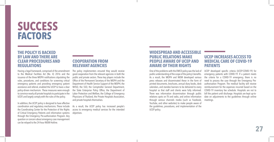## **SUCCESS FACTORS**

### **THE POLICY IS BACKED BY LAW AND THERE ARE CLEAR PROCEDURES AND REGULATIONS**

Having a legal framework, comprised of the amendment to the Medical Facilities Act (No. 4) 2016 and the issuance of the three MOPH notifications stipulating the rules, procedures, and conditions for screening critical emergency patients and providing emergency patient assistance and referral, enabled the UCEP to have a clear policy-driven mechanism. These measures were enough to convince nearly all private hospitals to participate in the UCEP, and largely comply with the rules of the policy.

In addition, the UCEP policy is designed to have effective coordination and regulatory mechanisms. These include the Coordinating Center for the Protection of the Rights of Critical Emergency Patients and information systems through the Emergency Pre-authorization Program. Any question or concern about emergency case management can be relayed to the 24-hour NIEM Hotline.

### **COOPERATION FROM RELEVANT AGENCIES**

The policy implementers ensured they would receive good cooperation from the relevant agencies in both the public and private sectors. These key players include the Office of the Permanent Secretary of the MOPH and the Department of Health Service Support of the MOPH, the NHSO, the SSO, the Comptroller General Department, the State Enterprise Policy Office, the Department of Labor Protection and Welfare, the College of Emergency Physicians of Thailand, the Private Hospitals Association, and private hospitals themselves.

As a result, the UCEP policy has increased people's access to emergency medical services for the intended objectives.

### **WIDESPREAD AND ACCESSIBLE PUBLIC RELATIONS MAKE PEOPLE AWARE OF UCEP AND AWARE OF THEIR RIGHTS**

One of the problems with the EMCO policy was the lack of public understanding of the scope of the policy's benefits. As a result, the MOPH and NIEM developed various press releases and disseminated these in the form of printed documents, brochures, annual diary books, desk calendars, and standee banners to be delivered to every hospital so that staff and clients were fully informed. There was information dissemination through public relations spots on TV and radio, and online information through various channels media (such as Facebook, YouTube, and other websites) to make people aware of the guidelines, procedures, and implementation of the UCEP policy.

### **UCEP INCREASES ACCESS TO MEDICAL CARE OF COVID-19 PATIENTS**

UCEP developed specific criteria (UCEP-COVID-19) for emergency patients with COVID-19. If a patient meets the criteria for a COVID-19 emergency, there is no need to process the case through the Emergency Preauthorization Program. The medical facility will receive reimbursement for the expenses incurred based on the COVID-19 inventory fee schedule. Hospitals are not to bill the patient until discharge. Hospitals are kept up-todate on adjustments to the guidelines through online meetings.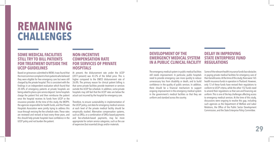## **REMAINING CHALLENGES**

### **SOME MEDICAL FACILITIES STILL TRY TO BILL PATIENTS FOR TREATMENT OUTSIDE THE UCEP GUIDELINES**

Based on grievances submitted to NIEM, it was found that the most common complaint is from patients who believed they were eligible for free emergency care but were still charged by the private hospital. This is consistent with the findings in an independent evaluation which found that 20-30% of emergency patients at private hospitals are being asked to place a pre-service deposit. Some hospitals charge the patient first and then reimburse the patient once the hospital receives its funds from UCEP or the insurance provider. At the time of this study, the MOPH, the agencies responsible for health funds, and the Private Hospitals Association were jointly trying to address this issue through revising the fee schedule rates. These rates are reviewed and revised at least every three years, and this should help private hospitals have confidence in the UCEP policy and not burden the patient.

### **NON-INCENTIVE COMPENSATION RATE FOR SERVICES OF PRIVATE HOSPITALS**

At present, the disbursement rate under the UCEP (2017-present) was 43.2% of the billed price. This is higher compared to the EMCO disbursement rate of 26.8%. The primary reason for clinical patient billing is that some private facilities provide treatment or services outside the UCEP fee schedule. In addition, some private hospitals may still feel that the UCEP rates are below the actual cost incurred by the hospital for emergency care.

Therefore, to ensure sustainability in implementation of the UCEP policy, cost data for emergency medical services at each level of the private medical facility should be empirically studied. Alternative compensation systems, such as DRGs, or a combination of DRGs-based payments and fee-schedule-based payments, may be more appropriate for certain service categories, such as the use of expensive (but essential) drugs and/or materials.

#### **DEVELOPMENT OF THE EMERGENCY MEDICAL SYSTEM IN A PUBLIC CLINICAL FACILITY DELAY IN IMPROVING REGULATIONS**

The emergency medical system in public medical facilities still needs improvement. In particular, public hospitals need to provide emergency care more quickly to reduce unnecessary loss from disability or death, and to build confidence in the quality of public services. In addition, there should be a financial mechanism to support ongoing improvement in the emergency medical system in the government's medical facilities so that they are uniform and standard across the country.

## **STATE ENTERPRISE FUND**

Some of the relevant health insurance funds face obstacles in paying private medical facilities for emergency care of their beneficiaries. At the time of this study, there were 165 health insurance funds in operation in Thailand. However, only 13 of these funds have revised their regulations to conform to UCEP criteria, while the other 152 funds need to amend their regulations so that care and financing are uniform. This is one of the key challenges affecting access to emergency medical services. At the time of this study, discussions were ongoing to resolve this gap, including such agencies as the Department of Welfare and Labor Relations, the Office of the Public Sector Development Commission, and the State Enterprise Policy Committee.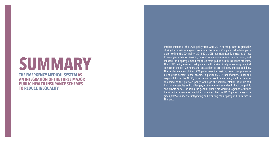# **SUMMARY**

**THE EMERGENCY MEDICAL SYSTEM AS AN INTEGRATION OF THE THREE MAJOR PUBLIC HEALTH INSURANCE SCHEMES TO REDUCE INEQUALITY**

Implementation of the UCEP policy from April 2017 to the present is gradually closing the gaps in emergency care around the country. Compared to the Emergency Claim Online (EMCO) policy (2012-17), UCEP has significantly increased access to emergency medical services, boosted cooperation from private hospitals, and reduced the disparity among the three main public health insurance schemes. The UCEP policy ensures that patients will receive timely emergency medical services in the first 72 hours after an accident or acute illness, and not be billed. The implementation of the UCEP policy over the past four years has proven to be of great benefit to the people. In particular, UCS beneficiaries, under the responsibility of the NHSO, have greater access to emergency medical services compared to the previous policy. Although the implementation of UCEP still has some obstacles and challenges, all the relevant agencies in both the public and private sector, including the general public, are working together to further improve the emergency medicine system so that the UCEP policy serves as a *'good-practice model'* for integrating and reducing the disparity of health care in Thailand.